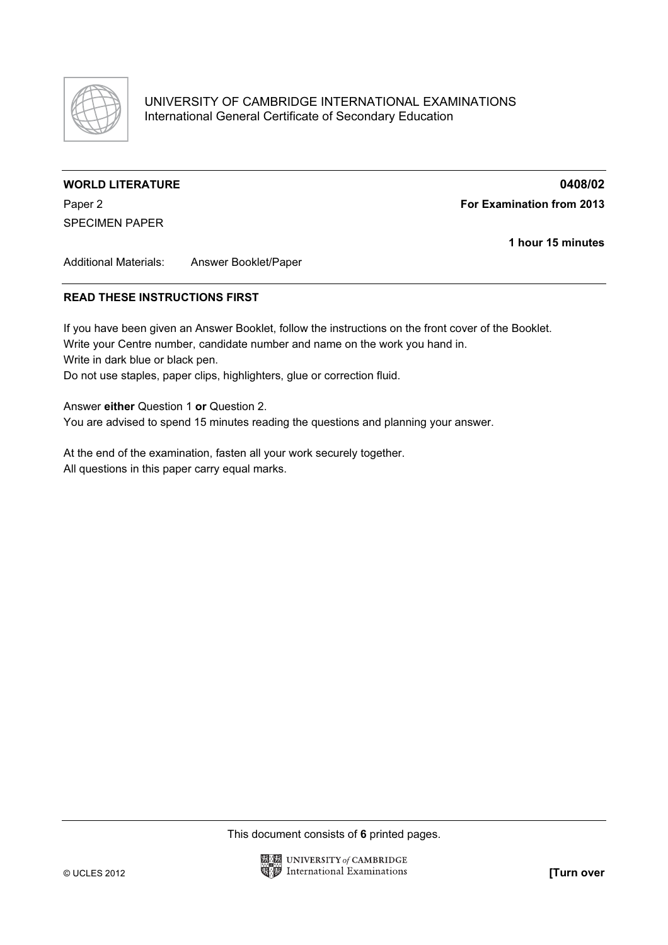

### WORLD LITERATURE **0408/02**

SPECIMEN PAPER

Paper 2 **For Examination from 2013** 

1 hour 15 minutes

Additional Materials: Answer Booklet/Paper

# READ THESE INSTRUCTIONS FIRST

If you have been given an Answer Booklet, follow the instructions on the front cover of the Booklet. Write your Centre number, candidate number and name on the work you hand in. Write in dark blue or black pen. Do not use staples, paper clips, highlighters, glue or correction fluid.

Answer either Question 1 or Question 2. You are advised to spend 15 minutes reading the questions and planning your answer.

At the end of the examination, fasten all your work securely together. All questions in this paper carry equal marks.

This document consists of 6 printed pages.

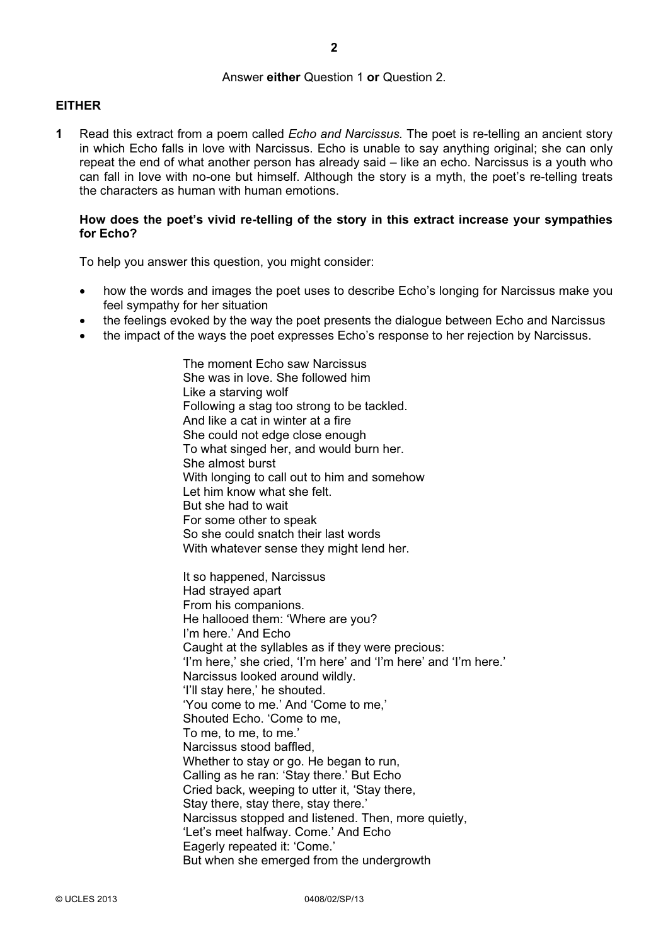## EITHER

1 Read this extract from a poem called *Echo and Narcissus*. The poet is re-telling an ancient story in which Echo falls in love with Narcissus. Echo is unable to say anything original; she can only repeat the end of what another person has already said – like an echo. Narcissus is a youth who can fall in love with no-one but himself. Although the story is a myth, the poet's re-telling treats the characters as human with human emotions.

### How does the poet's vivid re-telling of the story in this extract increase your sympathies for Echo?

To help you answer this question, you might consider:

- how the words and images the poet uses to describe Echo's longing for Narcissus make you feel sympathy for her situation
- the feelings evoked by the way the poet presents the dialogue between Echo and Narcissus
- the impact of the ways the poet expresses Echo's response to her rejection by Narcissus.

The moment Echo saw Narcissus She was in love. She followed him Like a starving wolf Following a stag too strong to be tackled. And like a cat in winter at a fire She could not edge close enough To what singed her, and would burn her. She almost burst With longing to call out to him and somehow Let him know what she felt. But she had to wait For some other to speak So she could snatch their last words With whatever sense they might lend her. It so happened, Narcissus Had strayed apart From his companions. He hallooed them: 'Where are you? I'm here.' And Echo Caught at the syllables as if they were precious: 'I'm here,' she cried, 'I'm here' and 'I'm here' and 'I'm here.' Narcissus looked around wildly. 'I'll stay here,' he shouted. 'You come to me.' And 'Come to me,' Shouted Echo. 'Come to me, To me, to me, to me.' Narcissus stood baffled, Whether to stay or go. He began to run, Calling as he ran: 'Stay there.' But Echo Cried back, weeping to utter it, 'Stay there, Stay there, stay there, stay there.' Narcissus stopped and listened. Then, more quietly, 'Let's meet halfway. Come.' And Echo Eagerly repeated it: 'Come.' But when she emerged from the undergrowth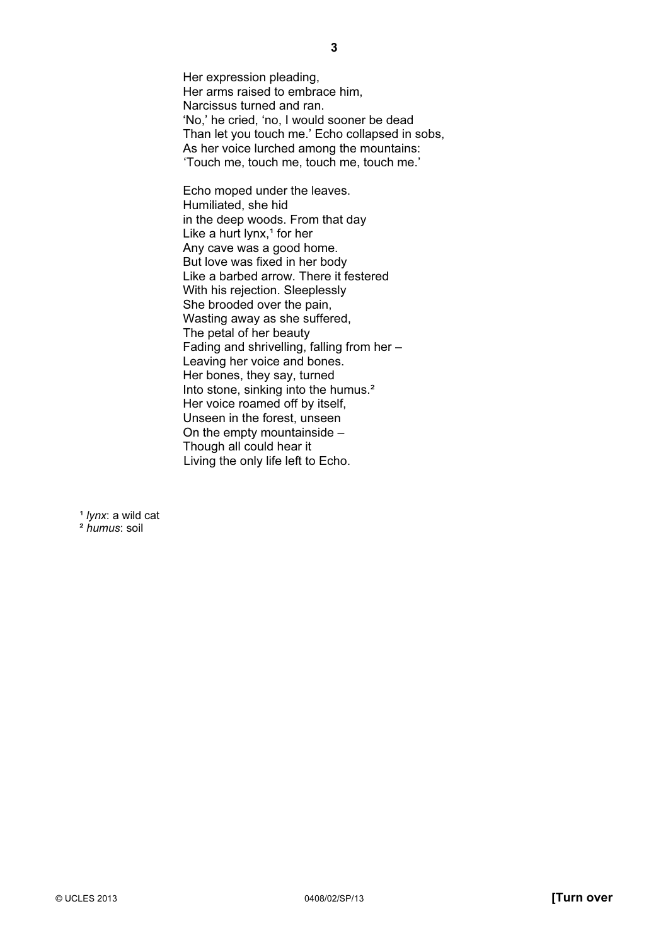Her expression pleading, Her arms raised to embrace him, Narcissus turned and ran. 'No,' he cried, 'no, I would sooner be dead Than let you touch me.' Echo collapsed in sobs, As her voice lurched among the mountains: 'Touch me, touch me, touch me, touch me.'

Echo moped under the leaves. Humiliated, she hid in the deep woods. From that day Like a hurt lynx, $1$  for her Any cave was a good home. But love was fixed in her body Like a barbed arrow. There it festered With his rejection. Sleeplessly She brooded over the pain, Wasting away as she suffered, The petal of her beauty Fading and shrivelling, falling from her – Leaving her voice and bones. Her bones, they say, turned Into stone, sinking into the humus.² Her voice roamed off by itself, Unseen in the forest, unseen On the empty mountainside – Though all could hear it Living the only life left to Echo.

 $1$  lynx: a wild cat ² humus: soil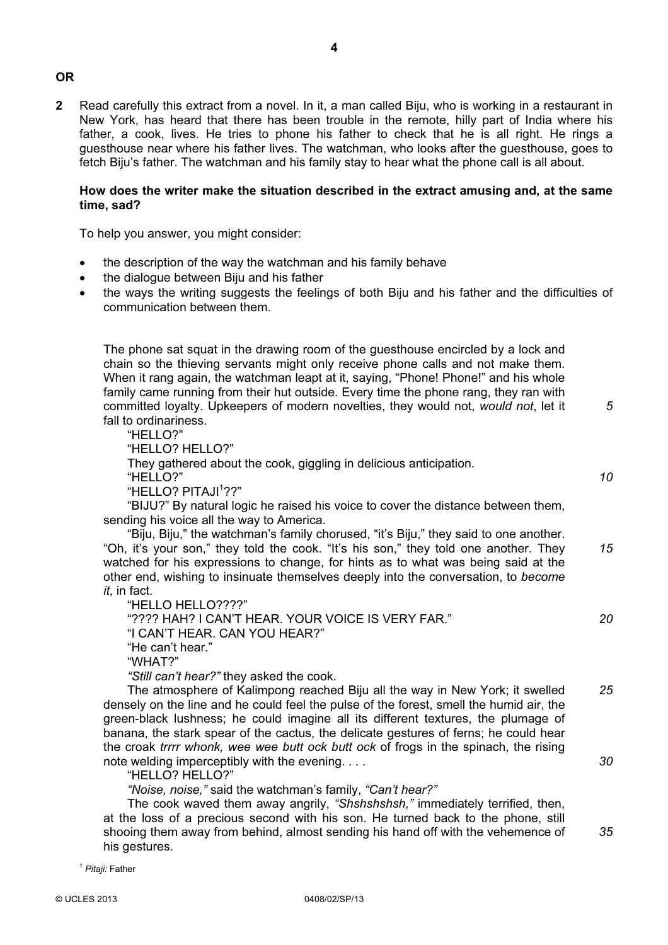OR

2 Read carefully this extract from a novel. In it, a man called Biju, who is working in a restaurant in New York, has heard that there has been trouble in the remote, hilly part of India where his father, a cook, lives. He tries to phone his father to check that he is all right. He rings a guesthouse near where his father lives. The watchman, who looks after the guesthouse, goes to fetch Biju's father. The watchman and his family stay to hear what the phone call is all about.

### How does the writer make the situation described in the extract amusing and, at the same time, sad?

To help you answer, you might consider:

- the description of the way the watchman and his family behave
- the dialogue between Biju and his father
- the ways the writing suggests the feelings of both Biju and his father and the difficulties of communication between them.

The phone sat squat in the drawing room of the guesthouse encircled by a lock and chain so the thieving servants might only receive phone calls and not make them. When it rang again, the watchman leapt at it, saying, "Phone! Phone!" and his whole family came running from their hut outside. Every time the phone rang, they ran with committed loyalty. Upkeepers of modern novelties, they would not, would not, let it fall to ordinariness.

 "HELLO?" "HELLO? HELLO?" They gathered about the cook, giggling in delicious anticipation. "HELLO?" "HELLO? PITAJI<sup>1</sup>??"

 "BIJU?" By natural logic he raised his voice to cover the distance between them, sending his voice all the way to America.

 "Biju, Biju," the watchman's family chorused, "it's Biju," they said to one another. "Oh, it's your son," they told the cook. "It's his son," they told one another. They watched for his expressions to change, for hints as to what was being said at the other end, wishing to insinuate themselves deeply into the conversation, to become it, in fact. 15

| "HELLO HELLO????"                                                                          |     |
|--------------------------------------------------------------------------------------------|-----|
| "???? HAH? I CAN'T HEAR, YOUR VOICE IS VERY FAR."                                          | 20  |
| "I CAN'T HEAR, CAN YOU HEAR?"                                                              |     |
| "He can't hear."                                                                           |     |
| "WHAT?"                                                                                    |     |
| "Still can't hear?" they asked the cook.                                                   |     |
| The estimated began of IZalimon and meadowed Diversal the crisis in Marc Magle it accorded | or. |

 The atmosphere of Kalimpong reached Biju all the way in New York; it swelled densely on the line and he could feel the pulse of the forest, smell the humid air, the green-black lushness; he could imagine all its different textures, the plumage of banana, the stark spear of the cactus, the delicate gestures of ferns; he could hear the croak trrrr whonk, wee wee butt ock butt ock of frogs in the spinach, the rising note welding imperceptibly with the evening. . . . 25 30

"HELLO? HELLO?"

"Noise, noise," said the watchman's family, "Can't hear?"

 The cook waved them away angrily, "Shshshshsh," immediately terrified, then, at the loss of a precious second with his son. He turned back to the phone, still shooing them away from behind, almost sending his hand off with the vehemence of his gestures. 35

<sup>1</sup> Pitaii: Father

4

5

10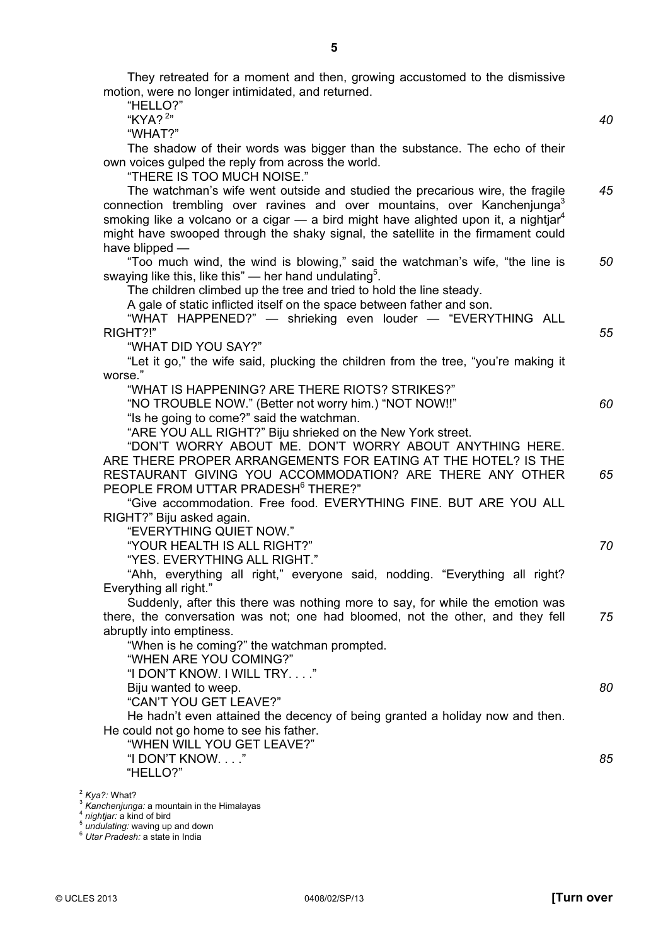They retreated for a moment and then, growing accustomed to the dismissive motion, were no longer intimidated, and returned.

| "HELLO?"                                                                                          |    |
|---------------------------------------------------------------------------------------------------|----|
| "KYA? <sup>2</sup> "                                                                              | 40 |
| "WHAT?"                                                                                           |    |
| The shadow of their words was bigger than the substance. The echo of their                        |    |
| own voices gulped the reply from across the world.                                                |    |
| "THERE IS TOO MUCH NOISE."                                                                        |    |
| The watchman's wife went outside and studied the precarious wire, the fragile                     | 45 |
| connection trembling over ravines and over mountains, over Kanchenjunga <sup>3</sup>              |    |
| smoking like a volcano or a cigar $-$ a bird might have alighted upon it, a nightjar <sup>4</sup> |    |
| might have swooped through the shaky signal, the satellite in the firmament could                 |    |
|                                                                                                   |    |
| have blipped -                                                                                    | 50 |
| "Too much wind, the wind is blowing," said the watchman's wife, "the line is                      |    |
| swaying like this, like this" $-$ her hand undulating <sup>5</sup> .                              |    |
| The children climbed up the tree and tried to hold the line steady.                               |    |
| A gale of static inflicted itself on the space between father and son.                            |    |
| "WHAT HAPPENED?" - shrieking even louder - "EVERYTHING ALL                                        |    |
| RIGHT?!"                                                                                          | 55 |
| "WHAT DID YOU SAY?"                                                                               |    |
| "Let it go," the wife said, plucking the children from the tree, "you're making it                |    |
| worse."                                                                                           |    |
| "WHAT IS HAPPENING? ARE THERE RIOTS? STRIKES?"                                                    |    |
| "NO TROUBLE NOW." (Better not worry him.) "NOT NOW!!"                                             | 60 |
| "Is he going to come?" said the watchman.                                                         |    |
| "ARE YOU ALL RIGHT?" Biju shrieked on the New York street.                                        |    |
| "DON'T WORRY ABOUT ME. DON'T WORRY ABOUT ANYTHING HERE.                                           |    |
| ARE THERE PROPER ARRANGEMENTS FOR EATING AT THE HOTEL? IS THE                                     |    |
| RESTAURANT GIVING YOU ACCOMMODATION? ARE THERE ANY OTHER                                          | 65 |
| PEOPLE FROM UTTAR PRADESH <sup>6</sup> THERE?"                                                    |    |
| "Give accommodation. Free food. EVERYTHING FINE. BUT ARE YOU ALL                                  |    |
| RIGHT?" Biju asked again.                                                                         |    |
| "EVERYTHING QUIET NOW."                                                                           |    |
| "YOUR HEALTH IS ALL RIGHT?"                                                                       | 70 |
| "YES. EVERYTHING ALL RIGHT."                                                                      |    |
|                                                                                                   |    |
| "Ahh, everything all right," everyone said, nodding. "Everything all right?                       |    |
| Everything all right."                                                                            |    |
| Suddenly, after this there was nothing more to say, for while the emotion was                     |    |
| there, the conversation was not; one had bloomed, not the other, and they fell                    | 75 |
| abruptly into emptiness.                                                                          |    |
| "When is he coming?" the watchman prompted.                                                       |    |
| "WHEN ARE YOU COMING?"                                                                            |    |
| "I DON'T KNOW. I WILL TRY"                                                                        |    |
| Biju wanted to weep.                                                                              | 80 |
| "CAN'T YOU GET LEAVE?"                                                                            |    |
| He hadn't even attained the decency of being granted a holiday now and then.                      |    |
| He could not go home to see his father.                                                           |    |
| "WHEN WILL YOU GET LEAVE?"                                                                        |    |
| "I DON'T KNOW."                                                                                   | 85 |
| "HELLO?"                                                                                          |    |
|                                                                                                   |    |
| $2$ Kya?: What?<br><sup>3</sup> Kanchenjunga: a mountain in the Himalayas                         |    |
| nightjar: a kind of bird                                                                          |    |
| undulating: waving up and down<br><sup>6</sup> Utar Pradesh: a state in India                     |    |
|                                                                                                   |    |